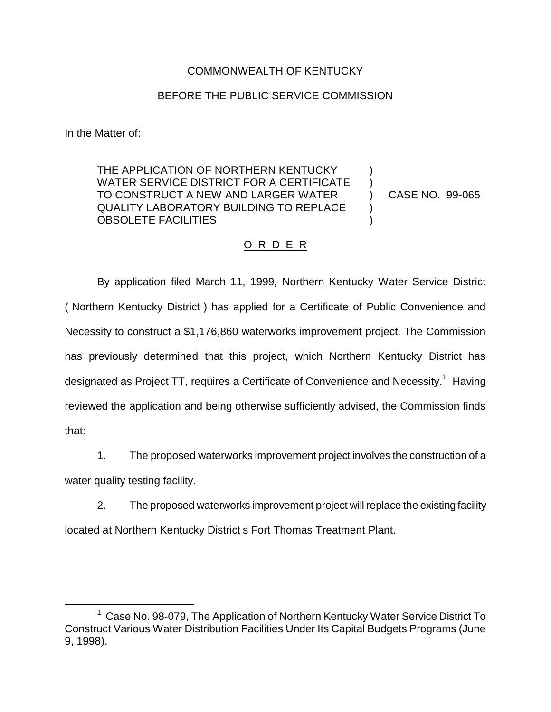## COMMONWEALTH OF KENTUCKY

## BEFORE THE PUBLIC SERVICE COMMISSION

In the Matter of:

THE APPLICATION OF NORTHERN KENTUCKY WATER SERVICE DISTRICT FOR A CERTIFICATE TO CONSTRUCT A NEW AND LARGER WATER QUALITY LABORATORY BUILDING TO REPLACE OBSOLETE FACILITIES

CASE NO. 99-065

) ) ) ) )

## O R D E R

By application filed March 11, 1999, Northern Kentucky Water Service District ( Northern Kentucky District ) has applied for a Certificate of Public Convenience and Necessity to construct a \$1,176,860 waterworks improvement project. The Commission has previously determined that this project, which Northern Kentucky District has designated as Project TT, requires a Certificate of Convenience and Necessity.<sup>1</sup> Having reviewed the application and being otherwise sufficiently advised, the Commission finds that:

1. The proposed waterworks improvement project involves the construction of a water quality testing facility.

2. The proposed waterworks improvement project will replace the existing facility located at Northern Kentucky District s Fort Thomas Treatment Plant.

 $1$  Case No. 98-079, The Application of Northern Kentucky Water Service District To Construct Various Water Distribution Facilities Under Its Capital Budgets Programs (June 9, 1998).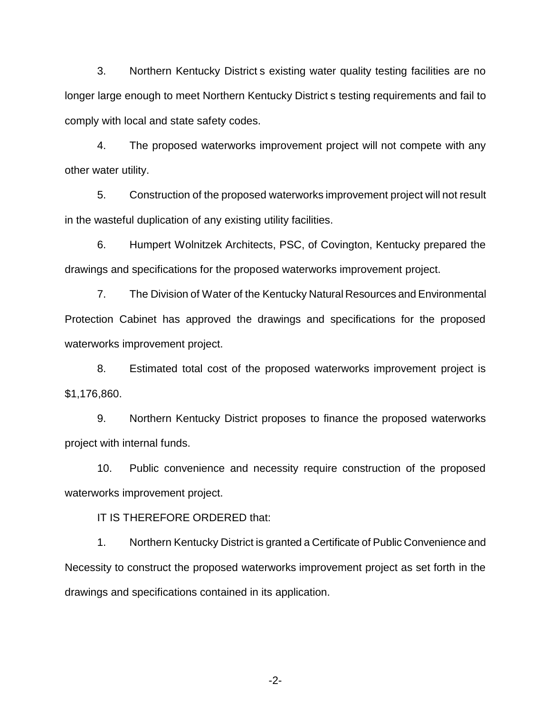3. Northern Kentucky District s existing water quality testing facilities are no longer large enough to meet Northern Kentucky District s testing requirements and fail to comply with local and state safety codes.

4. The proposed waterworks improvement project will not compete with any other water utility.

5. Construction of the proposed waterworks improvement project will not result in the wasteful duplication of any existing utility facilities.

6. Humpert Wolnitzek Architects, PSC, of Covington, Kentucky prepared the drawings and specifications for the proposed waterworks improvement project.

7. The Division of Water of the Kentucky Natural Resources and Environmental Protection Cabinet has approved the drawings and specifications for the proposed waterworks improvement project.

8. Estimated total cost of the proposed waterworks improvement project is \$1,176,860.

9. Northern Kentucky District proposes to finance the proposed waterworks project with internal funds.

10. Public convenience and necessity require construction of the proposed waterworks improvement project.

IT IS THEREFORE ORDERED that:

1. Northern Kentucky District is granted a Certificate of Public Convenience and Necessity to construct the proposed waterworks improvement project as set forth in the drawings and specifications contained in its application.

-2-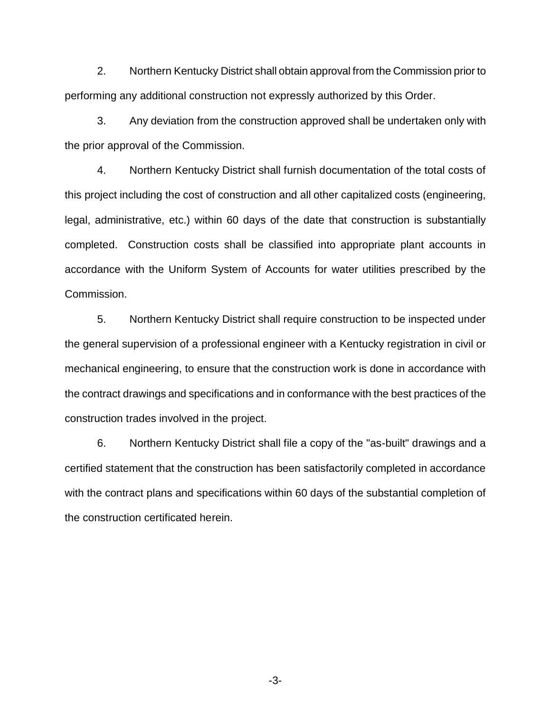2. Northern Kentucky District shall obtain approval from the Commission prior to performing any additional construction not expressly authorized by this Order.

3. Any deviation from the construction approved shall be undertaken only with the prior approval of the Commission.

4. Northern Kentucky District shall furnish documentation of the total costs of this project including the cost of construction and all other capitalized costs (engineering, legal, administrative, etc.) within 60 days of the date that construction is substantially completed. Construction costs shall be classified into appropriate plant accounts in accordance with the Uniform System of Accounts for water utilities prescribed by the Commission.

5. Northern Kentucky District shall require construction to be inspected under the general supervision of a professional engineer with a Kentucky registration in civil or mechanical engineering, to ensure that the construction work is done in accordance with the contract drawings and specifications and in conformance with the best practices of the construction trades involved in the project.

6. Northern Kentucky District shall file a copy of the "as-built" drawings and a certified statement that the construction has been satisfactorily completed in accordance with the contract plans and specifications within 60 days of the substantial completion of the construction certificated herein.

-3-